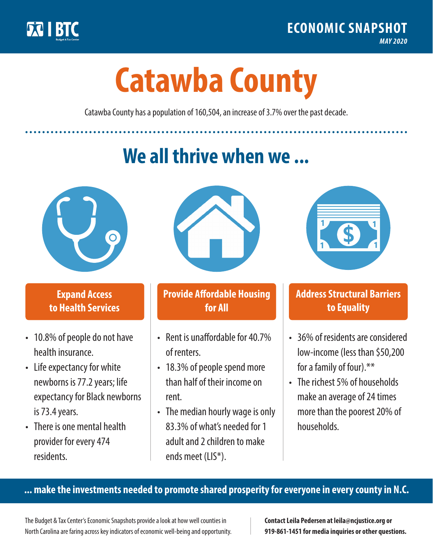

**1**

# **Catawba County**

Catawba County has a population of 160,504, an increase of 3.7% over the past decade.

# **We all thrive when we ...**



**\$ <sup>1</sup>**

**\$ <sup>1</sup>**

### **Expand Access to Health Services**

- 10.8% of people do not have health insurance.
- Life expectancy for white newborns is 77.2years; life expectancy for Black newborns is 73.4years.
- There is one mental health provider for every 474 residents.



### **Provide Affordable Housing for All**

- Rent is unaffordable for 40.7% of renters.
- 18.3% of people spend more than half of their income on rent.
- The median hourly wage is only 83.3% of what's needed for 1 adult and 2 children to make ends meet (LIS\*).



## **Address Structural Barriers to Equality**

- 36% of residents are considered low-income (less than \$50,200 for a family of four).\*\*
- The richest 5% of households make an average of 24 times more than the poorest 20% of households.

#### **... make the investments needed to promote shared prosperity for everyone in every county in N.C.**

The Budget & Tax Center's Economic Snapshots provide a look at how well counties in North Carolina are faring across key indicators of economic well-being and opportunity.